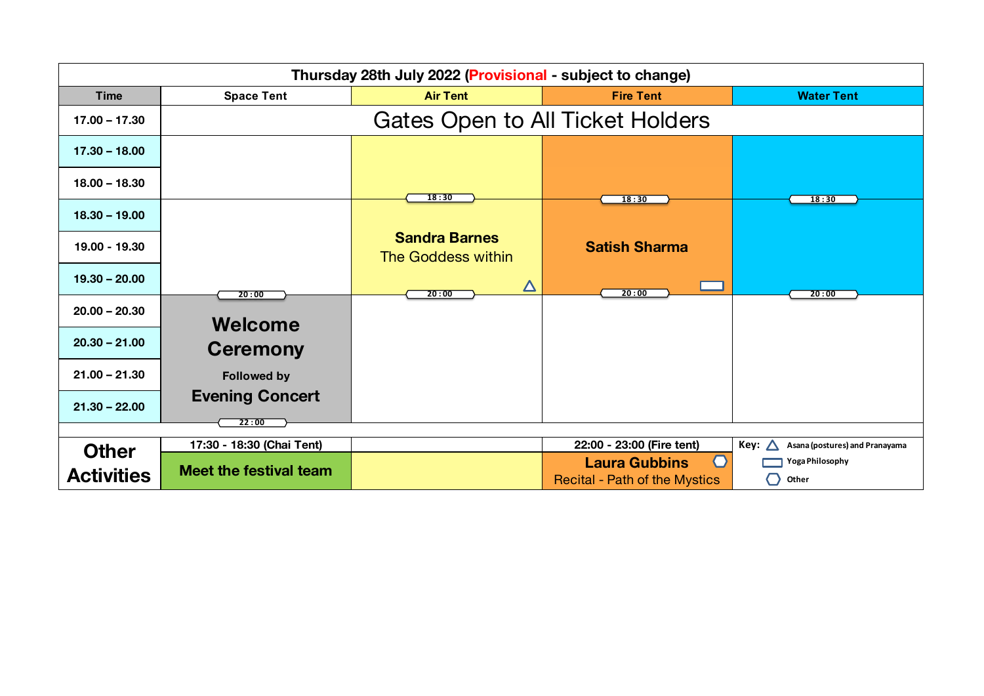| Thursday 28th July 2022 (Provisional - subject to change) |                                 |                                            |                                                                           |                                        |  |
|-----------------------------------------------------------|---------------------------------|--------------------------------------------|---------------------------------------------------------------------------|----------------------------------------|--|
| <b>Time</b>                                               | <b>Space Tent</b>               | <b>Air Tent</b>                            | <b>Fire Tent</b>                                                          | <b>Water Tent</b>                      |  |
| $17.00 - 17.30$                                           |                                 | <b>Gates Open to All Ticket Holders</b>    |                                                                           |                                        |  |
| $17.30 - 18.00$                                           |                                 |                                            |                                                                           |                                        |  |
| $18.00 - 18.30$                                           |                                 | 18:30                                      | 18:30                                                                     | 18:30                                  |  |
| $18.30 - 19.00$                                           |                                 |                                            |                                                                           |                                        |  |
| 19.00 - 19.30                                             |                                 | <b>Sandra Barnes</b><br>The Goddess within | <b>Satish Sharma</b>                                                      |                                        |  |
| $19.30 - 20.00$                                           | 20:00                           | $\boldsymbol{\Delta}$<br>20:00             | 20:00                                                                     | 20:00                                  |  |
| $20.00 - 20.30$                                           | Welcome                         |                                            |                                                                           |                                        |  |
| $20.30 - 21.00$                                           | <b>Ceremony</b>                 |                                            |                                                                           |                                        |  |
| $21.00 - 21.30$                                           | <b>Followed by</b>              |                                            |                                                                           |                                        |  |
| $21.30 - 22.00$                                           | <b>Evening Concert</b><br>22:00 |                                            |                                                                           |                                        |  |
|                                                           |                                 |                                            |                                                                           |                                        |  |
| <b>Other</b>                                              | 17:30 - 18:30 (Chai Tent)       |                                            | 22:00 - 23:00 (Fire tent)                                                 | Key:<br>Asana (postures) and Pranayama |  |
| <b>Activities</b>                                         | Meet the festival team          |                                            | $\bigcap$<br><b>Laura Gubbins</b><br><b>Recital - Path of the Mystics</b> | Yoga Philosophy<br>Other<br>( )        |  |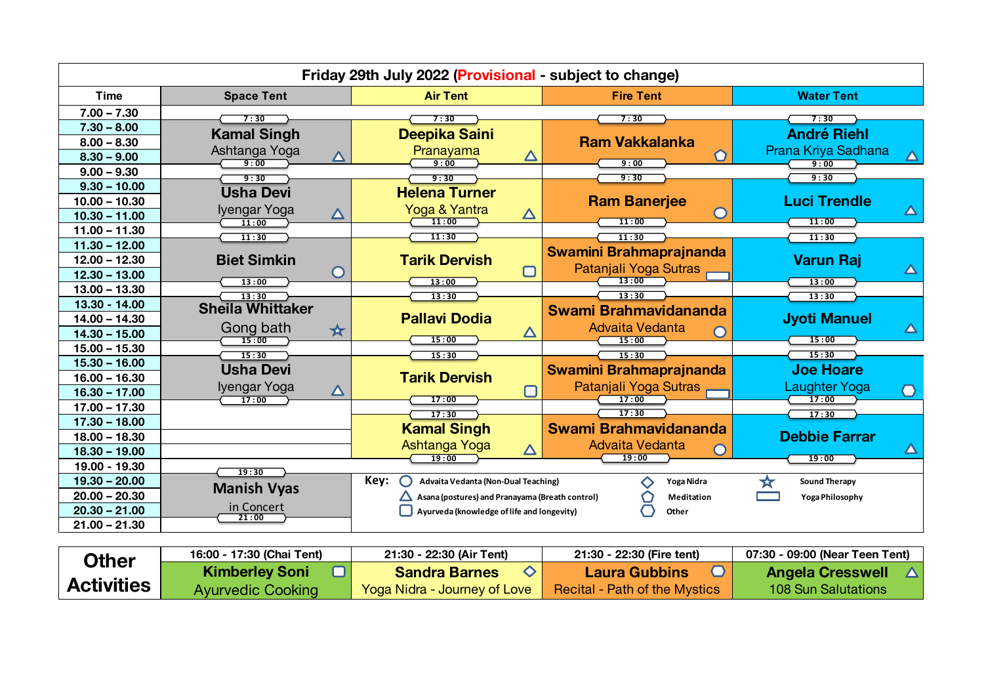| Friday 29th July 2022 (Provisional - subject to change) |                                                |                                                 |                                |                                                            |
|---------------------------------------------------------|------------------------------------------------|-------------------------------------------------|--------------------------------|------------------------------------------------------------|
| <b>Time</b>                                             | <b>Space Tent</b>                              | <b>Air Tent</b>                                 | <b>Fire Tent</b>               | <b>Water Tent</b>                                          |
| $7.00 - 7.30$                                           | 7:30                                           | 7:30                                            | 7:30                           | 7:30                                                       |
| $7.30 - 8.00$                                           | <b>Kamal Singh</b>                             | Deepika Saini                                   |                                | <b>André Riehl</b>                                         |
| $8.00 - 8.30$                                           |                                                |                                                 | <b>Ram Vakkalanka</b>          |                                                            |
| $8.30 - 9.00$                                           | Ashtanga Yoga<br>$\overline{\Delta}$<br>9:00   | Pranayama<br>$\Delta$<br>9:00                   | 9:00                           | Prana Kriya Sadhana<br>$\overline{\blacktriangle}$<br>9:00 |
| $9.00 - 9.30$                                           | 9:30                                           | 9:30                                            | 9:30                           | 9:30                                                       |
| $9.30 - 10.00$                                          | <b>Usha Devi</b>                               | <b>Helena Turner</b>                            |                                |                                                            |
| $10.00 - 10.30$                                         |                                                |                                                 | <b>Ram Banerjee</b>            | <b>Luci Trendle</b>                                        |
| $10.30 - 11.00$                                         | Iyengar Yoga<br>$\boldsymbol{\Delta}$<br>11:00 | Yoga & Yantra<br>$\boldsymbol{\Delta}$<br>11:00 | $\bullet$<br>11:00             | $\Delta$<br>11:00                                          |
| $11.00 - 11.30$                                         | 11:30                                          | 11:30                                           | 11:30                          | 11:30                                                      |
| $11.30 - 12.00$                                         |                                                |                                                 | <b>Swamini Brahmaprajnanda</b> |                                                            |
| $12.00 - 12.30$                                         | <b>Biet Simkin</b>                             | <b>Tarik Dervish</b>                            | Patanjali Yoga Sutras          | <b>Varun Raj</b>                                           |
| $12.30 - 13.00$                                         | $\cup$<br>13:00                                | $\Box$<br>13:00                                 | 13:00                          | $\Delta$<br>13:00                                          |
| $13.00 - 13.30$                                         | 13:30                                          | 13:30                                           | 13:30                          | 13:30                                                      |
| 13.30 - 14.00                                           | <b>Sheila Whittaker</b>                        |                                                 | Swami Brahmavidananda          |                                                            |
| $14.00 - 14.30$                                         |                                                | <b>Pallavi Dodia</b>                            | Advaita Vedanta                | <b>Jyoti Manuel</b>                                        |
| $14.30 - 15.00$                                         | Gong bath<br>★<br>15:00                        | $\Delta$<br>15:00                               | 15:00                          | $\Delta$<br>15:00                                          |
| $15.00 - 15.30$                                         | 15:30                                          | 15:30                                           | 15:30                          | 15:30                                                      |
| $15.30 - 16.00$                                         | <b>Usha Devi</b>                               |                                                 | <b>Swamini Brahmaprajnanda</b> | <b>Joe Hoare</b>                                           |
| $16.00 - 16.30$                                         |                                                | <b>Tarik Dervish</b>                            | Patanjali Yoga Sutras          | <b>Laughter Yoga</b>                                       |
| $16.30 - 17.00$                                         | Iyengar Yoga<br>$\Delta$<br>17:00              | 17:00                                           | 17:00                          | 0<br>17:00                                                 |
| $17.00 - 17.30$                                         |                                                | 17:30                                           | 17:30                          | 17:30                                                      |
| $17.30 - 18.00$                                         |                                                | <b>Kamal Singh</b>                              | Swami Brahmavidananda          |                                                            |
| $18.00 - 18.30$                                         |                                                | Ashtanga Yoga                                   | Advaita Vedanta                | <b>Debbie Farrar</b>                                       |
| $18.30 - 19.00$                                         |                                                | $\Delta$<br>19:00                               | 19:00                          | △<br>19:00                                                 |
| 19.00 - 19.30                                           | 19:30                                          |                                                 |                                |                                                            |
| $19.30 - 20.00$                                         | <b>Manish Vyas</b>                             | Key:<br>Advaita Vedanta (Non-Dual Teaching)     | Yoga Nidra<br>⌒                | <b>Sound Therapy</b>                                       |
| $20.00 - 20.30$                                         |                                                | Asana (postures) and Pranayama (Breath control) | Meditation                     | Yoga Philosophy                                            |
| $20.30 - 21.00$                                         | in Concert<br>21:00                            | Ayurveda (knowledge of life and longevity)      | Other                          |                                                            |
| $21.00 - 21.30$                                         |                                                |                                                 |                                |                                                            |

| Other             | 16:00 - 17:30 (Chai Tent) | 21:30 - 22:30 (Air Tent)     | 21:30 - 22:30 (Fire tent)            | 07:30 - 09:00 (Near Teen Tent) |
|-------------------|---------------------------|------------------------------|--------------------------------------|--------------------------------|
|                   | <b>Kimberley Soni</b>     | <b>Sandra Barnes</b>         | Laura Gubbins                        | <b>Angela Cresswell</b>        |
| <b>Activities</b> | <b>Ayurvedic Cooking</b>  | Yoga Nidra - Journey of Love | <b>Recital - Path of the Mystics</b> | 108 Sun Salutations            |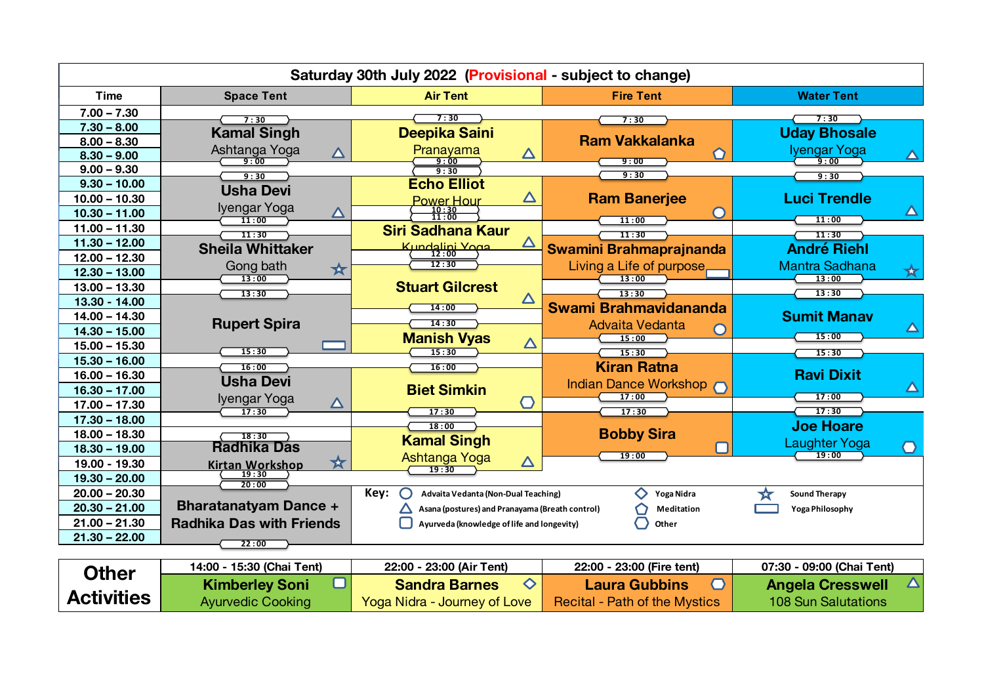| Saturday 30th July 2022 (Provisional - subject to change) |                                                |                                                 |                                |                                      |
|-----------------------------------------------------------|------------------------------------------------|-------------------------------------------------|--------------------------------|--------------------------------------|
| <b>Time</b>                                               | <b>Space Tent</b>                              | <b>Air Tent</b>                                 | <b>Fire Tent</b>               | <b>Water Tent</b>                    |
| $7.00 - 7.30$                                             | 7:30                                           | 7:30                                            | 7:30                           | 7:30                                 |
| $7.30 - 8.00$                                             | <b>Kamal Singh</b>                             | Deepika Saini                                   |                                | <b>Uday Bhosale</b>                  |
| $8.00 - 8.30$                                             |                                                |                                                 | <b>Ram Vakkalanka</b>          |                                      |
| $8.30 - 9.00$                                             | Ashtanga Yoga<br>$\boldsymbol{\Delta}$<br>9:00 | Pranayama<br>$\Delta$<br>9:00                   | 9:00                           | Iyengar Yoga<br>Δ<br>9:00            |
| $9.00 - 9.30$                                             | 9:30                                           | 9:30                                            | 9:30                           | 9:30                                 |
| $9.30 - 10.00$                                            | <b>Usha Devi</b>                               | <b>Echo Elliot</b>                              |                                |                                      |
| $10.00 - 10.30$                                           | Iyengar Yoga                                   | $\Delta$<br><b>Power Hour</b>                   | <b>Ram Banerjee</b>            | <b>Luci Trendle</b>                  |
| $10.30 - 11.00$                                           | △<br>11:00                                     | $\frac{10:30}{11:00}$                           | 11:00                          | $\blacktriangle$<br>11:00            |
| $11.00 - 11.30$                                           | 11:30                                          | <b>Siri Sadhana Kaur</b>                        | 11:30                          | 11:30                                |
| $11.30 - 12.00$                                           | <b>Sheila Whittaker</b>                        | △<br>Kundalini Yoga                             | Swamini Brahmaprajnanda        | <b>André Riehl</b>                   |
| $12.00 - 12.30$                                           |                                                | 12:30                                           | Living a Life of purpose       | <b>Mantra Sadhana</b>                |
| $12.30 - 13.00$                                           | Gong bath<br>☆<br>13:00                        |                                                 | 13:00                          | ★<br>13:00                           |
| $13.00 - 13.30$                                           | 13:30                                          | <b>Stuart Gilcrest</b>                          | 13:30                          | 13:30                                |
| 13.30 - 14.00                                             |                                                | $\Delta$<br>14:00                               | Swami Brahmavidananda          |                                      |
| $14.00 - 14.30$                                           |                                                | 14:30                                           |                                | <b>Sumit Manav</b>                   |
| $14.30 - 15.00$                                           | <b>Rupert Spira</b>                            | <b>Manish Vyas</b>                              | Advaita Vedanta<br>15:00       | 15:00                                |
| $15.00 - 15.30$                                           | 15:30                                          | $\Delta$<br>15:30                               | 15:30                          | 15:30                                |
| $15.30 - 16.00$                                           | 16:00                                          | 16:00                                           | <b>Kiran Ratna</b>             |                                      |
| $16.00 - 16.30$                                           | <b>Usha Devi</b>                               |                                                 |                                | <b>Ravi Dixit</b>                    |
| $16.30 - 17.00$                                           |                                                | <b>Biet Simkin</b>                              | Indian Dance Workshop<br>17:00 | 17:00                                |
| $17.00 - 17.30$                                           | Iyengar Yoga<br>$\boldsymbol{\Delta}$<br>17:30 | $\bigcap$<br>17:30                              | 17:30                          | 17:30                                |
| $17.30 - 18.00$                                           |                                                | 18:00                                           |                                | <b>Joe Hoare</b>                     |
| $18.00 - 18.30$                                           | 18:30                                          | <b>Kamal Singh</b>                              | <b>Bobby Sira</b>              |                                      |
| $18.30 - 19.00$                                           | <b>Radhika Das</b>                             |                                                 | 19:00                          | Laughter Yoga<br>$\bigcirc$<br>19:00 |
| 19.00 - 19.30                                             | ☆<br><b>Kirtan Workshop</b>                    | Ashtanga Yoga<br>$\Delta$<br>19:30              |                                |                                      |
| $19.30 - 20.00$                                           | 19:30<br>20:00                                 |                                                 |                                |                                      |
| $20.00 - 20.30$                                           |                                                | Key:<br>Advaita Vedanta (Non-Dual Teaching)     | Yoga Nidra                     | <b>Sound Therapy</b><br>₩            |
| $20.30 - 21.00$                                           | <b>Bharatanatyam Dance +</b>                   | Asana (postures) and Pranayama (Breath control) | <b>Meditation</b>              | Yoga Philosophy                      |
| $21.00 - 21.30$                                           | <b>Radhika Das with Friends</b>                | Ayurveda (knowledge of life and longevity)      | Other                          |                                      |
| $21.30 - 22.00$                                           | 22:00                                          |                                                 |                                |                                      |
|                                                           |                                                |                                                 |                                |                                      |
|                                                           | $15.20$ (Choi Tant)<br>14.00                   | ההימה<br>$00:00$ $(hirTanh)$                    | ההימה<br>$99:00$ (Eiro topt)   | 07:20 00:00 (Choi Tont)              |

| <b>Other</b>      | 14:00 - 15:30 (Chai Tent) | 22:00 - 23:00 (Air Tent)     | 22:00 - 23:00 (Fire tent)     | 07:30 - 09:00 (Chai Tent) |
|-------------------|---------------------------|------------------------------|-------------------------------|---------------------------|
|                   | <b>Kimberley Soni</b>     | <b>Sandra Barnes</b>         | Laura Gubbins                 | <b>Angela Cresswell</b>   |
| <b>Activities</b> | <b>Ayurvedic Cooking</b>  | Yoga Nidra - Journey of Love | Recital - Path of the Mystics | 108 Sun Salutations       |